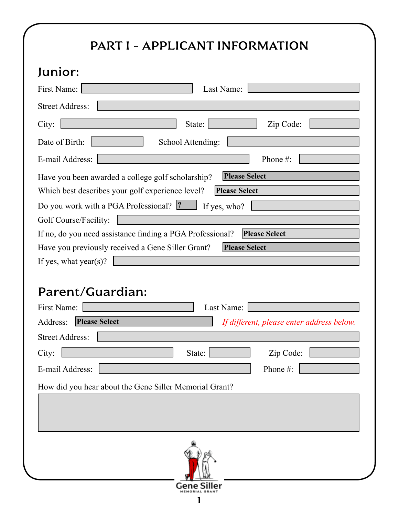# PART I - APPLICANT INFORMATION

#### Junior:

| Junior:                                                                                                                                               |
|-------------------------------------------------------------------------------------------------------------------------------------------------------|
| First Name:<br>Last Name:                                                                                                                             |
| <b>Street Address:</b>                                                                                                                                |
| City:<br>State:  <br>Zip Code:                                                                                                                        |
| Date of Birth:<br>School Attending:                                                                                                                   |
| Phone#:<br>E-mail Address:                                                                                                                            |
| <b>Please Select</b><br>Have you been awarded a college golf scholarship?<br>Which best describes your golf experience level?<br><b>Please Select</b> |
| Do you work with a PGA Professional? <sup>2</sup> If yes, who?                                                                                        |
| Golf Course/Facility:<br><b>Please Select</b>                                                                                                         |
| If no, do you need assistance finding a PGA Professional?                                                                                             |
| Have you previously received a Gene Siller Grant?<br><b>Please Select</b>                                                                             |
| If yes, what year(s)?                                                                                                                                 |
| Parent/Guardian:<br>Last Name:<br>First Name:                                                                                                         |
| <b>Please Select</b><br>Address:<br>If different, please enter address below.                                                                         |
| <b>Street Address:</b>                                                                                                                                |
| State:<br>City:<br>Zip Code:                                                                                                                          |
| Phone #:<br>E-mail Address:                                                                                                                           |
| How did you hear about the Gene Siller Memorial Grant?                                                                                                |
|                                                                                                                                                       |
|                                                                                                                                                       |
| Gene Siller                                                                                                                                           |